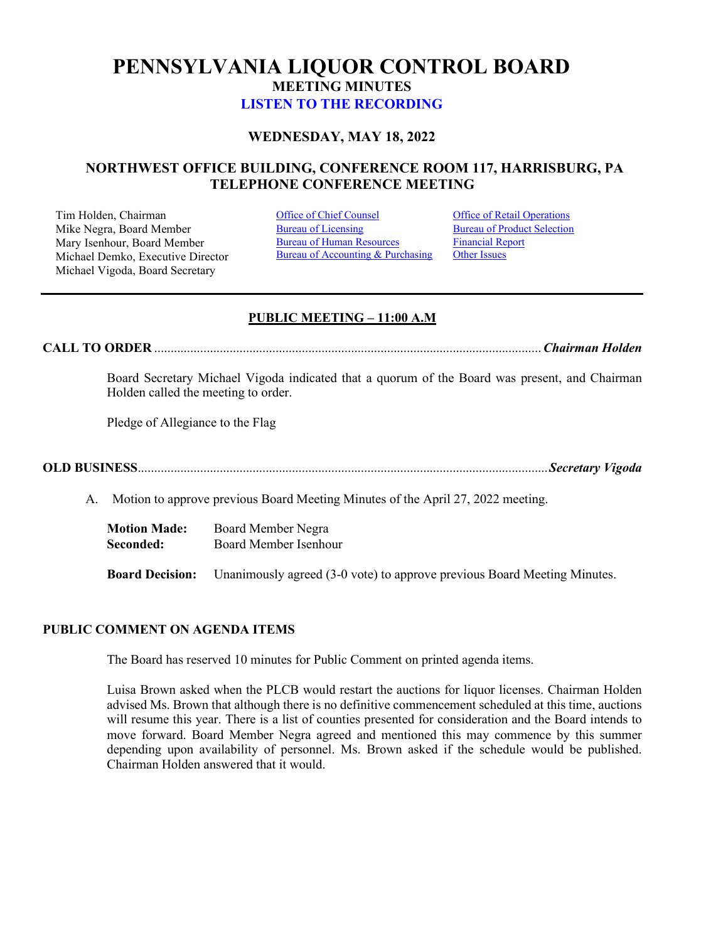# **PENNSYLVANIA LIQUOR CONTROL BOARD MEETING MINUTES [LISTEN TO THE RECORDING](https://youtu.be/f-PPoN4DFw0)**

# **WEDNESDAY, MAY 18, 2022**

# **NORTHWEST OFFICE BUILDING, CONFERENCE ROOM 117, HARRISBURG, PA TELEPHONE CONFERENCE MEETING**

Tim Holden, Chairman **[Office of Chief Counsel](#page-1-0)** Office [of Retail Operations](#page-11-0)<br>
Mike Negra. Board Member Bureau of Licensing Bureau of Product Selection Mike Negra, Board Member Mary Isenhour, Board Member Michael Demko, Executive Director Michael Vigoda, Board Secretary

[Bureau of Human Resources](#page-9-0) Bureau of Accounting & Purchasing

[Financial Report](#page-9-1) [Other Issues](#page-19-0)

## **PUBLIC MEETING – 11:00 A.M**

**CALL TO ORDER** ...................................................................................................................... *Chairman Holden*

Board Secretary Michael Vigoda indicated that a quorum of the Board was present, and Chairman Holden called the meeting to order.

Pledge of Allegiance to the Flag

**OLD BUSINESS** ............................................................................................................................. *Secretary Vigoda* 

A. Motion to approve previous Board Meeting Minutes of the April 27, 2022 meeting.

**Motion Made:** Board Member Negra **Seconded:** Board Member Isenhour

**Board Decision:** Unanimously agreed (3-0 vote) to approve previous Board Meeting Minutes.

### **PUBLIC COMMENT ON AGENDA ITEMS**

The Board has reserved 10 minutes for Public Comment on printed agenda items.

Luisa Brown asked when the PLCB would restart the auctions for liquor licenses. Chairman Holden advised Ms. Brown that although there is no definitive commencement scheduled at this time, auctions will resume this year. There is a list of counties presented for consideration and the Board intends to move forward. Board Member Negra agreed and mentioned this may commence by this summer depending upon availability of personnel. Ms. Brown asked if the schedule would be published. Chairman Holden answered that it would.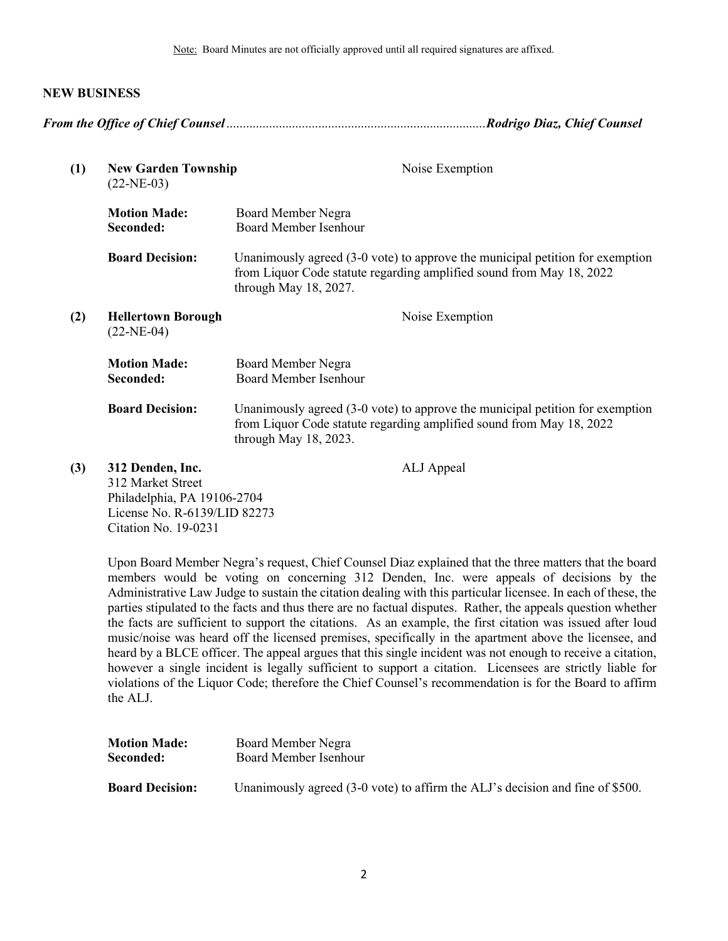Note: Board Minutes are not officially approved until all required signatures are affixed.

### **NEW BUSINESS**

<span id="page-1-0"></span>

| (1) | <b>New Garden Township</b><br>$(22-NE-03)$                                                                                   | Noise Exemption                                                                                                                                                                   |
|-----|------------------------------------------------------------------------------------------------------------------------------|-----------------------------------------------------------------------------------------------------------------------------------------------------------------------------------|
|     | <b>Motion Made:</b><br>Seconded:                                                                                             | Board Member Negra<br><b>Board Member Isenhour</b>                                                                                                                                |
|     | <b>Board Decision:</b>                                                                                                       | Unanimously agreed $(3-0)$ vote) to approve the municipal petition for exemption<br>from Liquor Code statute regarding amplified sound from May 18, 2022<br>through May 18, 2027. |
| (2) | <b>Hellertown Borough</b><br>$(22-NE-04)$                                                                                    | Noise Exemption                                                                                                                                                                   |
|     | <b>Motion Made:</b><br>Seconded:                                                                                             | Board Member Negra<br><b>Board Member Isenhour</b>                                                                                                                                |
|     | <b>Board Decision:</b>                                                                                                       | Unanimously agreed $(3-0)$ vote) to approve the municipal petition for exemption<br>from Liquor Code statute regarding amplified sound from May 18, 2022<br>through May 18, 2023. |
| (3) | 312 Denden, Inc.<br>312 Market Street<br>Philadelphia, PA 19106-2704<br>License No. R-6139/LID 82273<br>Citation No. 19-0231 | ALJ Appeal                                                                                                                                                                        |

Upon Board Member Negra's request, Chief Counsel Diaz explained that the three matters that the board members would be voting on concerning 312 Denden, Inc. were appeals of decisions by the Administrative Law Judge to sustain the citation dealing with this particular licensee. In each of these, the parties stipulated to the facts and thus there are no factual disputes. Rather, the appeals question whether the facts are sufficient to support the citations. As an example, the first citation was issued after loud music/noise was heard off the licensed premises, specifically in the apartment above the licensee, and heard by a BLCE officer. The appeal argues that this single incident was not enough to receive a citation, however a single incident is legally sufficient to support a citation. Licensees are strictly liable for violations of the Liquor Code; therefore the Chief Counsel's recommendation is for the Board to affirm the ALJ.

| <b>Motion Made:</b>    | Board Member Negra                                                            |
|------------------------|-------------------------------------------------------------------------------|
| Seconded:              | Board Member Isenhour                                                         |
| <b>Board Decision:</b> | Unanimously agreed (3-0 vote) to affirm the ALJ's decision and fine of \$500. |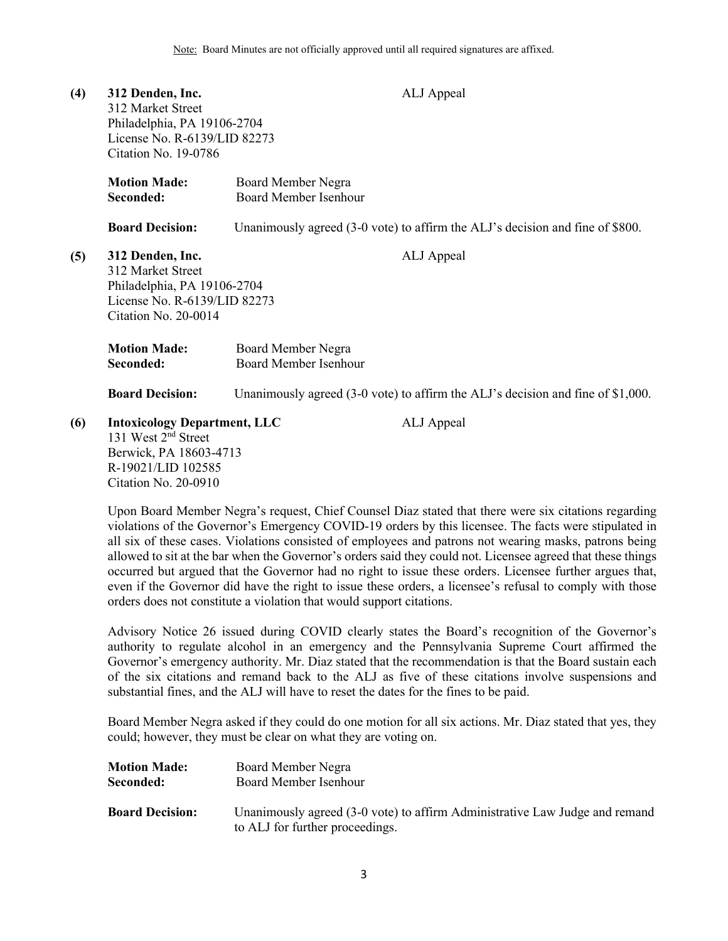| (4) | 312 Denden, Inc.<br>312 Market Street<br>Philadelphia, PA 19106-2704<br>License No. R-6139/LID 82273<br>Citation No. 19-0786                   |                                                    | ALJ Appeal                                                                        |
|-----|------------------------------------------------------------------------------------------------------------------------------------------------|----------------------------------------------------|-----------------------------------------------------------------------------------|
|     | <b>Motion Made:</b><br>Seconded:                                                                                                               | Board Member Negra<br><b>Board Member Isenhour</b> |                                                                                   |
|     | <b>Board Decision:</b>                                                                                                                         |                                                    | Unanimously agreed (3-0 vote) to affirm the ALJ's decision and fine of \$800.     |
| (5) | 312 Denden, Inc.<br>312 Market Street<br>Philadelphia, PA 19106-2704<br>License No. R-6139/LID 82273<br>Citation No. 20-0014                   |                                                    | ALJ Appeal                                                                        |
|     | <b>Motion Made:</b><br>Seconded:                                                                                                               | Board Member Negra<br>Board Member Isenhour        |                                                                                   |
|     | <b>Board Decision:</b>                                                                                                                         |                                                    | Unanimously agreed $(3-0$ vote) to affirm the ALJ's decision and fine of \$1,000. |
| (6) | <b>Intoxicology Department, LLC</b><br>131 West 2 <sup>nd</sup> Street<br>Berwick, PA 18603-4713<br>R-19021/LID 102585<br>Citation No. 20-0910 |                                                    | ALJ Appeal                                                                        |

Upon Board Member Negra's request, Chief Counsel Diaz stated that there were six citations regarding violations of the Governor's Emergency COVID-19 orders by this licensee. The facts were stipulated in all six of these cases. Violations consisted of employees and patrons not wearing masks, patrons being allowed to sit at the bar when the Governor's orders said they could not. Licensee agreed that these things occurred but argued that the Governor had no right to issue these orders. Licensee further argues that, even if the Governor did have the right to issue these orders, a licensee's refusal to comply with those orders does not constitute a violation that would support citations.

Advisory Notice 26 issued during COVID clearly states the Board's recognition of the Governor's authority to regulate alcohol in an emergency and the Pennsylvania Supreme Court affirmed the Governor's emergency authority. Mr. Diaz stated that the recommendation is that the Board sustain each of the six citations and remand back to the ALJ as five of these citations involve suspensions and substantial fines, and the ALJ will have to reset the dates for the fines to be paid.

Board Member Negra asked if they could do one motion for all six actions. Mr. Diaz stated that yes, they could; however, they must be clear on what they are voting on.

| <b>Motion Made:</b>    | Board Member Negra                                                                                             |
|------------------------|----------------------------------------------------------------------------------------------------------------|
| Seconded:              | Board Member Isenhour                                                                                          |
| <b>Board Decision:</b> | Unanimously agreed (3-0 vote) to affirm Administrative Law Judge and remand<br>to ALJ for further proceedings. |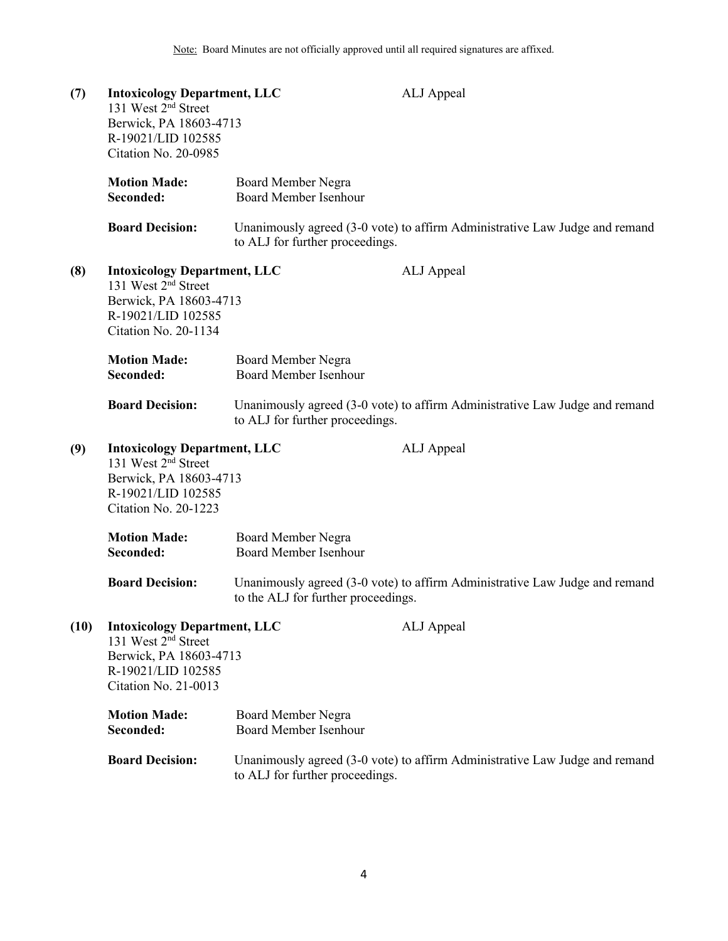| (7)  | <b>Intoxicology Department, LLC</b><br>131 West 2 <sup>nd</sup> Street<br>Berwick, PA 18603-4713<br>R-19021/LID 102585<br>Citation No. 20-0985 |                                                    | ALJ Appeal                                                                  |
|------|------------------------------------------------------------------------------------------------------------------------------------------------|----------------------------------------------------|-----------------------------------------------------------------------------|
|      | <b>Motion Made:</b><br>Seconded:                                                                                                               | Board Member Negra<br><b>Board Member Isenhour</b> |                                                                             |
|      | <b>Board Decision:</b>                                                                                                                         | to ALJ for further proceedings.                    | Unanimously agreed (3-0 vote) to affirm Administrative Law Judge and remand |
| (8)  | <b>Intoxicology Department, LLC</b><br>131 West 2 <sup>nd</sup> Street<br>Berwick, PA 18603-4713<br>R-19021/LID 102585<br>Citation No. 20-1134 |                                                    | ALJ Appeal                                                                  |
|      | <b>Motion Made:</b><br>Seconded:                                                                                                               | Board Member Negra<br><b>Board Member Isenhour</b> |                                                                             |
|      | <b>Board Decision:</b>                                                                                                                         | to ALJ for further proceedings.                    | Unanimously agreed (3-0 vote) to affirm Administrative Law Judge and remand |
| (9)  | <b>Intoxicology Department, LLC</b><br>131 West 2 <sup>nd</sup> Street<br>Berwick, PA 18603-4713<br>R-19021/LID 102585<br>Citation No. 20-1223 |                                                    | ALJ Appeal                                                                  |
|      | <b>Motion Made:</b><br>Seconded:                                                                                                               | Board Member Negra<br><b>Board Member Isenhour</b> |                                                                             |
|      | <b>Board Decision:</b>                                                                                                                         | to the ALJ for further proceedings.                | Unanimously agreed (3-0 vote) to affirm Administrative Law Judge and remand |
| (10) | <b>Intoxicology Department, LLC</b><br>131 West 2 <sup>nd</sup> Street<br>Berwick, PA 18603-4713<br>R-19021/LID 102585<br>Citation No. 21-0013 |                                                    | ALJ Appeal                                                                  |
|      | <b>Motion Made:</b><br>Seconded:                                                                                                               | Board Member Negra<br><b>Board Member Isenhour</b> |                                                                             |
|      | <b>Board Decision:</b>                                                                                                                         | to ALJ for further proceedings.                    | Unanimously agreed (3-0 vote) to affirm Administrative Law Judge and remand |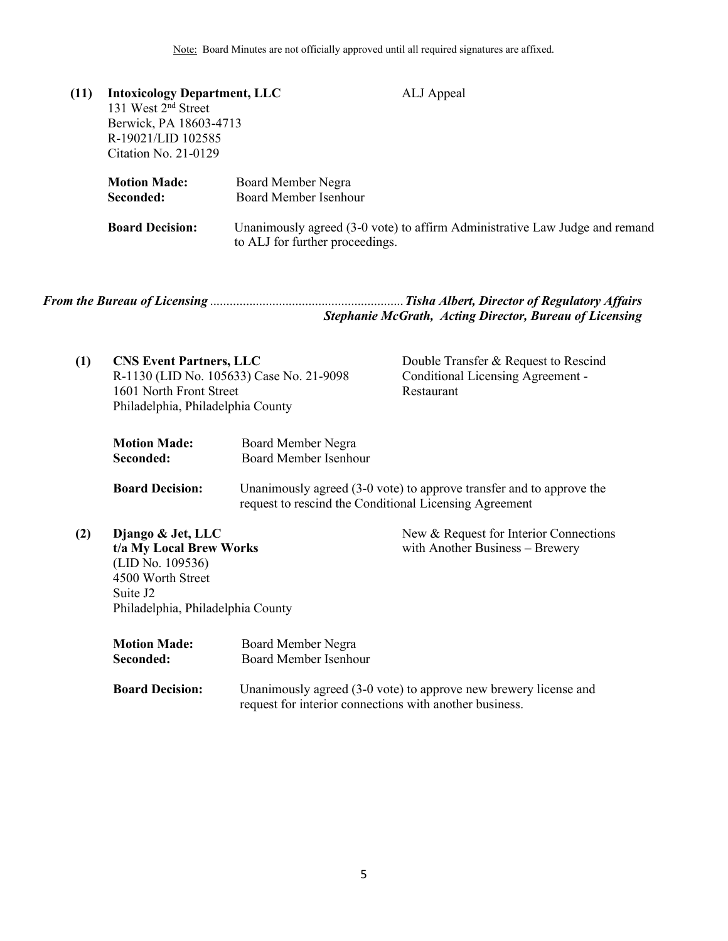| (11) | <b>Intoxicology Department, LLC</b><br>131 West 2 <sup>nd</sup> Street<br>Berwick, PA 18603-4713<br>R-19021/LID 102585<br>Citation No. $21-0129$ | ALJ Appeal                                                                                                     |
|------|--------------------------------------------------------------------------------------------------------------------------------------------------|----------------------------------------------------------------------------------------------------------------|
|      | <b>Motion Made:</b><br>Seconded:                                                                                                                 | Board Member Negra<br><b>Board Member Isenhour</b>                                                             |
|      | <b>Board Decision:</b>                                                                                                                           | Unanimously agreed (3-0 vote) to affirm Administrative Law Judge and remand<br>to ALJ for further proceedings. |

<span id="page-4-0"></span>

|  | <b>Stephanie McGrath, Acting Director, Bureau of Licensing</b> |
|--|----------------------------------------------------------------|

| (1) | <b>CNS Event Partners, LLC</b><br>R-1130 (LID No. 105633) Case No. 21-9098<br>1601 North Front Street<br>Philadelphia, Philadelphia County         |                                                        | Double Transfer & Request to Rescind<br>Conditional Licensing Agreement -<br>Restaurant |
|-----|----------------------------------------------------------------------------------------------------------------------------------------------------|--------------------------------------------------------|-----------------------------------------------------------------------------------------|
|     | <b>Motion Made:</b><br>Seconded:                                                                                                                   | Board Member Negra<br><b>Board Member Isenhour</b>     |                                                                                         |
|     | <b>Board Decision:</b>                                                                                                                             | request to rescind the Conditional Licensing Agreement | Unanimously agreed (3-0 vote) to approve transfer and to approve the                    |
| (2) | Django & Jet, LLC<br>t/a My Local Brew Works<br>(LID No. 109536)<br>4500 Worth Street<br>Suite J <sub>2</sub><br>Philadelphia, Philadelphia County |                                                        | New & Request for Interior Connections<br>with Another Business – Brewery               |
|     | <b>Motion Made:</b><br>Seconded:                                                                                                                   | Board Member Negra<br>Board Member Isenhour            |                                                                                         |

**Board Decision:** Unanimously agreed (3-0 vote) to approve new brewery license and request for interior connections with another business.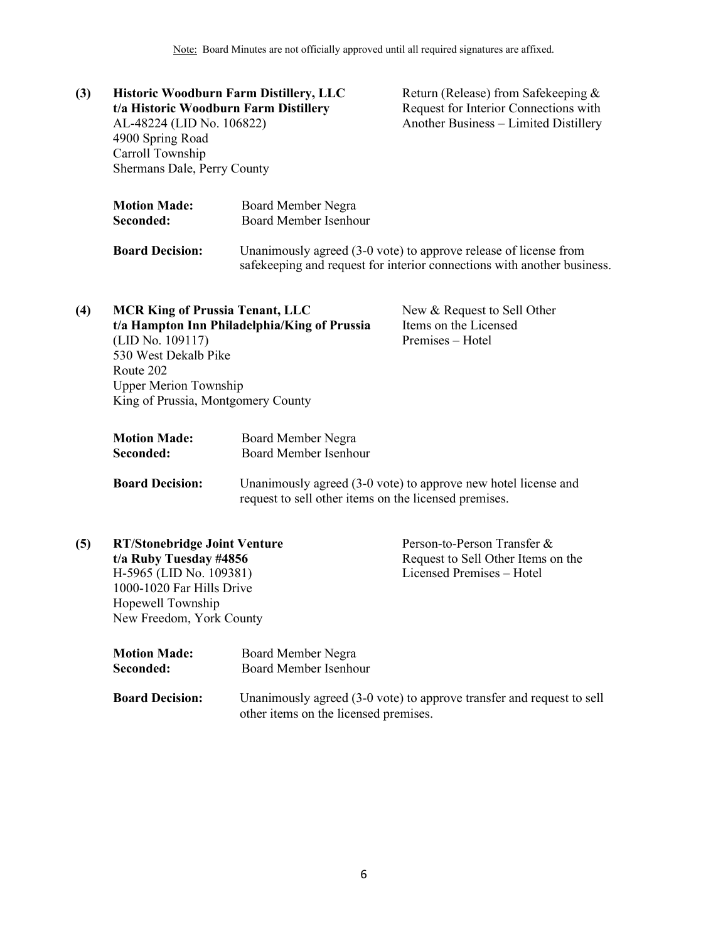**(3) Historic Woodburn Farm Distillery, LLC t/a Historic Woodburn Farm Distillery** AL-48224 (LID No. 106822) 4900 Spring Road Carroll Township Shermans Dale, Perry County Return (Release) from Safekeeping & Request for Interior Connections with Another Business – Limited Distillery **Motion Made:** Board Member Negra **Seconded:** Board Member Isenhour **Board Decision:** Unanimously agreed (3-0 vote) to approve release of license from safekeeping and request for interior connections with another business.

| (4) | <b>MCR King of Prussia Tenant, LLC</b><br>(LID No. 109117)<br>530 West Dekalb Pike<br>Route 202 | t/a Hampton Inn Philadelphia/King of Prussia | New & Request to Sell Other<br>Items on the Licensed<br>Premises – Hotel |
|-----|-------------------------------------------------------------------------------------------------|----------------------------------------------|--------------------------------------------------------------------------|
|     | <b>Upper Merion Township</b><br>King of Prussia, Montgomery County                              |                                              |                                                                          |
|     | <b>Motion Made:</b><br>Seconded:                                                                | Board Member Negra<br>Board Member Isenhour  |                                                                          |

**Board Decision:** Unanimously agreed (3-0 vote) to approve new hotel license and request to sell other items on the licensed premises.

| (5) | <b>RT/Stonebridge Joint Venture</b> |                       | Person-to-Person Transfer &        |
|-----|-------------------------------------|-----------------------|------------------------------------|
|     | t/a Ruby Tuesday #4856              |                       | Request to Sell Other Items on the |
|     | H-5965 (LID No. 109381)             |                       | Licensed Premises - Hotel          |
|     | 1000-1020 Far Hills Drive           |                       |                                    |
|     | Hopewell Township                   |                       |                                    |
|     | New Freedom, York County            |                       |                                    |
|     | <b>Motion Made:</b>                 | Board Member Negra    |                                    |
|     | Seconded:                           | Board Member Isenhour |                                    |
|     |                                     |                       |                                    |

**Board Decision:** Unanimously agreed (3-0 vote) to approve transfer and request to sell other items on the licensed premises.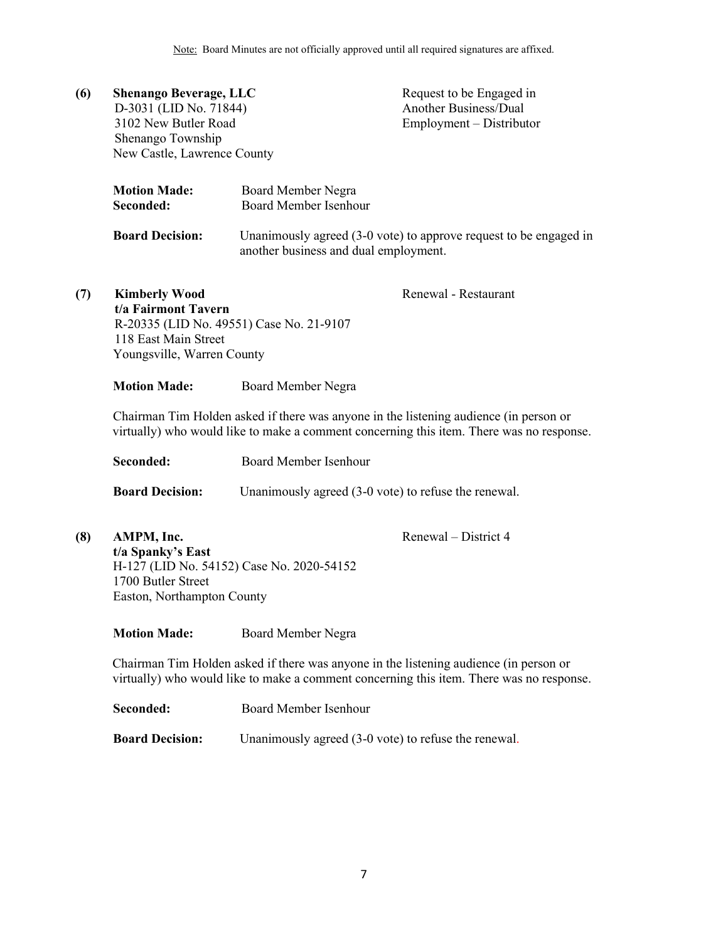| (6) | <b>Shenango Beverage, LLC</b><br>D-3031 (LID No. 71844)<br>3102 New Butler Road<br>Shenango Township<br>New Castle, Lawrence County |                                                                                       | Request to be Engaged in<br><b>Another Business/Dual</b><br>Employment - Distributor     |
|-----|-------------------------------------------------------------------------------------------------------------------------------------|---------------------------------------------------------------------------------------|------------------------------------------------------------------------------------------|
|     | <b>Motion Made:</b><br>Seconded:                                                                                                    | Board Member Negra<br>Board Member Isenhour                                           |                                                                                          |
|     | <b>Board Decision:</b>                                                                                                              | another business and dual employment.                                                 | Unanimously agreed $(3-0)$ vote) to approve request to be engaged in                     |
| (7) | <b>Kimberly Wood</b><br>t/a Fairmont Tavern<br>118 East Main Street<br>Youngsville, Warren County                                   | R-20335 (LID No. 49551) Case No. 21-9107                                              | Renewal - Restaurant                                                                     |
|     | <b>Motion Made:</b>                                                                                                                 | Board Member Negra                                                                    |                                                                                          |
|     |                                                                                                                                     | Chairman Tim Holden asked if there was anyone in the listening audience (in person or | virtually) who would like to make a comment concerning this item. There was no response. |
|     | Seconded:                                                                                                                           | <b>Board Member Isenhour</b>                                                          |                                                                                          |
|     | <b>Board Decision:</b>                                                                                                              | Unanimously agreed (3-0 vote) to refuse the renewal.                                  |                                                                                          |

**(8) AMPM, Inc. t/a Spanky's East** H-127 (LID No. 54152) Case No. 2020-54152 1700 Butler Street Easton, Northampton County

Renewal – District 4

**Motion Made:** Board Member Negra

Chairman Tim Holden asked if there was anyone in the listening audience (in person or virtually) who would like to make a comment concerning this item. There was no response.

**Seconded:** Board Member Isenhour **Board Decision:** Unanimously agreed (3-0 vote) to refuse the renewal.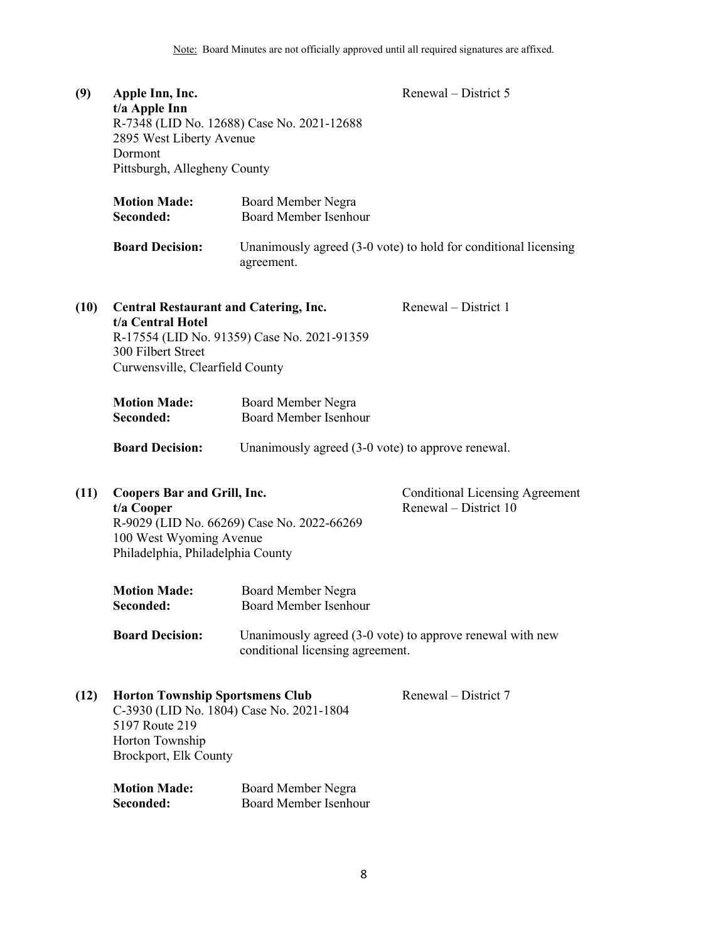| (9)  | Apple Inn, Inc.<br>t/a Apple Inn<br>2895 West Liberty Avenue<br>Dormont<br>Pittsburgh, Allegheny County                                          | R-7348 (LID No. 12688) Case No. 2021-12688         | Renewal – District 5                                            |
|------|--------------------------------------------------------------------------------------------------------------------------------------------------|----------------------------------------------------|-----------------------------------------------------------------|
|      | <b>Motion Made:</b><br>Seconded:                                                                                                                 | Board Member Negra<br>Board Member Isenhour        |                                                                 |
|      | <b>Board Decision:</b>                                                                                                                           | agreement.                                         | Unanimously agreed (3-0 vote) to hold for conditional licensing |
| (10) | <b>Central Restaurant and Catering, Inc.</b><br>t/a Central Hotel<br>300 Filbert Street<br>Curwensville, Clearfield County                       | R-17554 (LID No. 91359) Case No. 2021-91359        | Renewal – District 1                                            |
|      | <b>Motion Made:</b><br>Seconded:                                                                                                                 | Board Member Negra<br><b>Board Member Isenhour</b> |                                                                 |
|      | <b>Board Decision:</b>                                                                                                                           | Unanimously agreed (3-0 vote) to approve renewal.  |                                                                 |
| (11) | <b>Coopers Bar and Grill, Inc.</b><br>t/a Cooper<br>100 West Wyoming Avenue<br>Philadelphia, Philadelphia County                                 | R-9029 (LID No. 66269) Case No. 2022-66269         | <b>Conditional Licensing Agreement</b><br>Renewal – District 10 |
|      | <b>Motion Made:</b><br>Seconded:                                                                                                                 | Board Member Negra<br>Board Member Isenhour        |                                                                 |
|      | <b>Board Decision:</b>                                                                                                                           | conditional licensing agreement.                   | Unanimously agreed (3-0 vote) to approve renewal with new       |
| (12) | <b>Horton Township Sportsmens Club</b><br>C-3930 (LID No. 1804) Case No. 2021-1804<br>5197 Route 219<br>Horton Township<br>Brockport, Elk County |                                                    | Renewal – District 7                                            |
|      | <b>Motion Made:</b>                                                                                                                              | Board Member Negra                                 |                                                                 |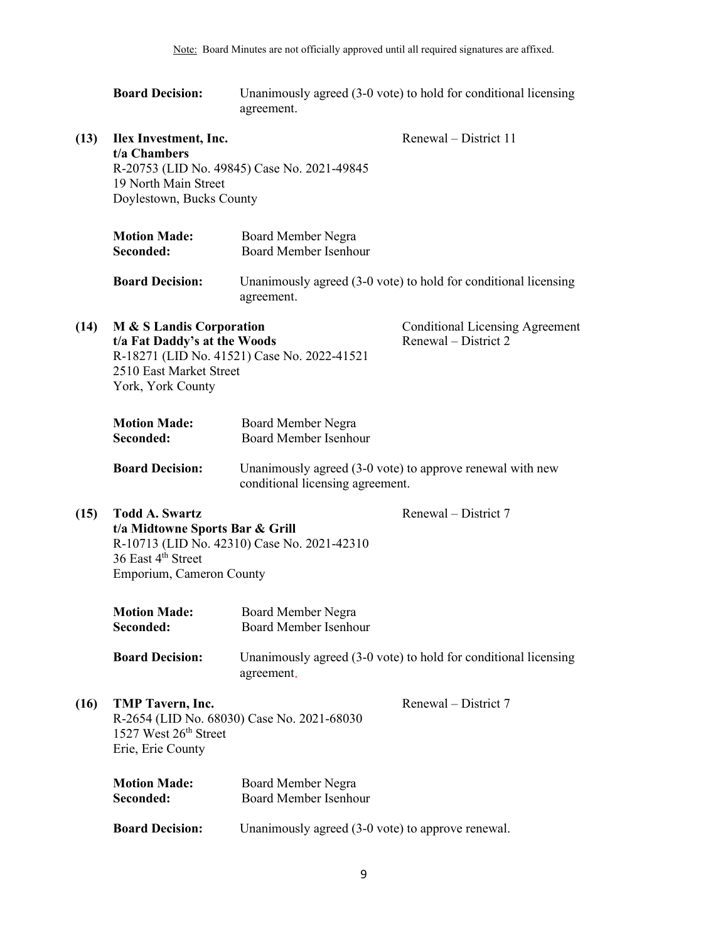|      | <b>Board Decision:</b>                                                                                                 | Unanimously agreed (3-0 vote) to hold for conditional licensing<br>agreement. |                                                                 |  |
|------|------------------------------------------------------------------------------------------------------------------------|-------------------------------------------------------------------------------|-----------------------------------------------------------------|--|
| (13) | Ilex Investment, Inc.<br>t/a Chambers<br>19 North Main Street<br>Doylestown, Bucks County                              | R-20753 (LID No. 49845) Case No. 2021-49845                                   | Renewal – District 11                                           |  |
|      | <b>Motion Made:</b><br>Seconded:                                                                                       | Board Member Negra<br><b>Board Member Isenhour</b>                            |                                                                 |  |
|      | <b>Board Decision:</b>                                                                                                 | agreement.                                                                    | Unanimously agreed (3-0 vote) to hold for conditional licensing |  |
| (14) | M & S Landis Corporation<br>t/a Fat Daddy's at the Woods<br>2510 East Market Street<br>York, York County               | R-18271 (LID No. 41521) Case No. 2022-41521                                   | <b>Conditional Licensing Agreement</b><br>Renewal – District 2  |  |
|      | <b>Motion Made:</b><br>Seconded:                                                                                       | Board Member Negra<br><b>Board Member Isenhour</b>                            |                                                                 |  |
|      | <b>Board Decision:</b>                                                                                                 | conditional licensing agreement.                                              | Unanimously agreed $(3-0$ vote) to approve renewal with new     |  |
| (15) | <b>Todd A. Swartz</b><br>t/a Midtowne Sports Bar & Grill<br>36 East 4 <sup>th</sup> Street<br>Emporium, Cameron County | R-10713 (LID No. 42310) Case No. 2021-42310                                   | Renewal – District 7                                            |  |
|      | <b>Motion Made:</b><br>Seconded:                                                                                       | Board Member Negra<br>Board Member Isenhour                                   |                                                                 |  |
|      | <b>Board Decision:</b>                                                                                                 | agreement.                                                                    | Unanimously agreed (3-0 vote) to hold for conditional licensing |  |
| (16) | TMP Tavern, Inc.<br>1527 West 26th Street<br>Erie, Erie County                                                         | R-2654 (LID No. 68030) Case No. 2021-68030                                    | Renewal – District 7                                            |  |
|      | <b>Motion Made:</b><br>Seconded:                                                                                       | Board Member Negra<br><b>Board Member Isenhour</b>                            |                                                                 |  |
|      | <b>Board Decision:</b>                                                                                                 | Unanimously agreed (3-0 vote) to approve renewal.                             |                                                                 |  |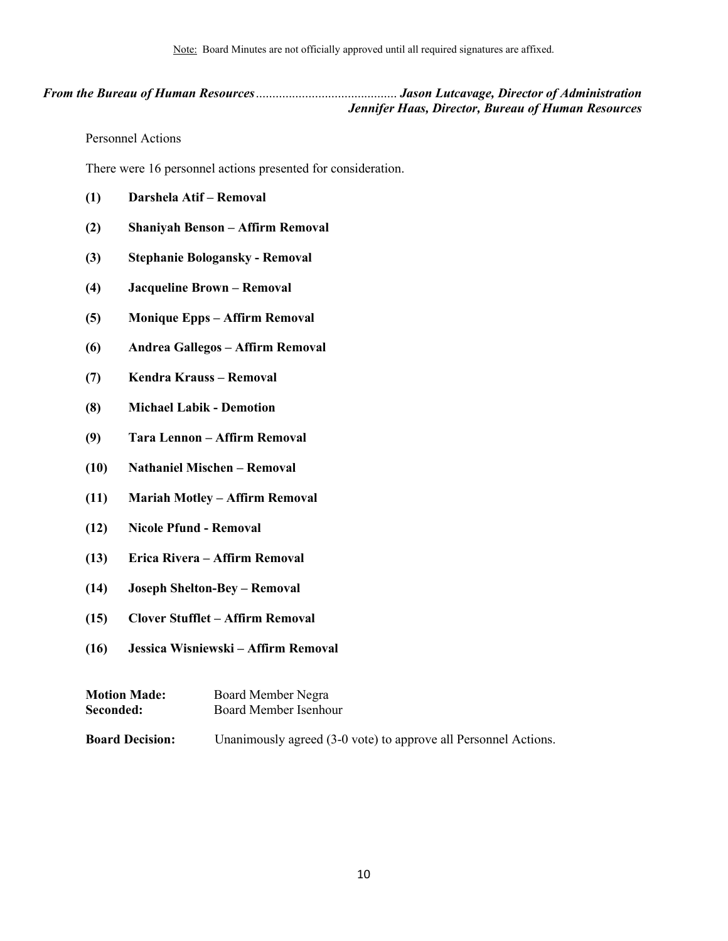### *From the Bureau of Human Resources*........................................... *Jason Lutcavage, Director of Administration Jennifer Haas, Director, Bureau of Human Resources*

<span id="page-9-1"></span><span id="page-9-0"></span>Personnel Actions

There were 16 personnel actions presented for consideration.

- **(1) Darshela Atif – Removal**
- **(2) Shaniyah Benson – Affirm Removal**
- **(3) Stephanie Bologansky - Removal**
- **(4) Jacqueline Brown – Removal**
- **(5) Monique Epps – Affirm Removal**
- **(6) Andrea Gallegos – Affirm Removal**
- **(7) Kendra Krauss – Removal**
- **(8) Michael Labik - Demotion**
- **(9) Tara Lennon – Affirm Removal**
- **(10) Nathaniel Mischen – Removal**
- **(11) Mariah Motley – Affirm Removal**
- **(12) Nicole Pfund - Removal**
- **(13) Erica Rivera – Affirm Removal**
- **(14) Joseph Shelton-Bey – Removal**
- **(15) Clover Stufflet – Affirm Removal**
- **(16) Jessica Wisniewski – Affirm Removal**

| <b>Motion Made:</b>    | Board Member Negra                                              |  |  |
|------------------------|-----------------------------------------------------------------|--|--|
| Seconded:              | Board Member Isenhour                                           |  |  |
| <b>Board Decision:</b> | Unanimously agreed (3-0 vote) to approve all Personnel Actions. |  |  |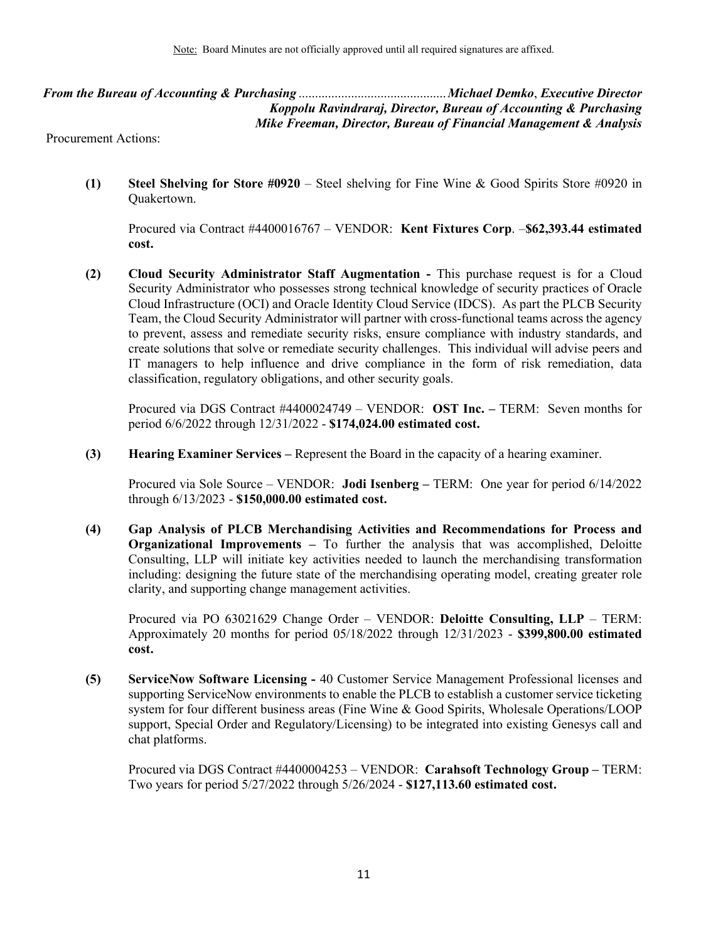*From the Bureau of Accounting & Purchasing* .............................................*Michael Demko*, *Executive Director Koppolu Ravindraraj, Director, Bureau of Accounting & Purchasing Mike Freeman, Director, Bureau of Financial Management & Analysis* 

Procurement Actions:

**(1) Steel Shelving for Store #0920** – Steel shelving for Fine Wine & Good Spirits Store #0920 in Quakertown.

Procured via Contract #4400016767 – VENDOR: **Kent Fixtures Corp**. –**\$62,393.44 estimated cost.** 

**(2) Cloud Security Administrator Staff Augmentation -** This purchase request is for a Cloud Security Administrator who possesses strong technical knowledge of security practices of Oracle Cloud Infrastructure (OCI) and Oracle Identity Cloud Service (IDCS). As part the PLCB Security Team, the Cloud Security Administrator will partner with cross-functional teams across the agency to prevent, assess and remediate security risks, ensure compliance with industry standards, and create solutions that solve or remediate security challenges. This individual will advise peers and IT managers to help influence and drive compliance in the form of risk remediation, data classification, regulatory obligations, and other security goals.

Procured via DGS Contract #4400024749 – VENDOR: **OST Inc. –** TERM: Seven months for period 6/6/2022 through 12/31/2022 - **\$174,024.00 estimated cost.**

**(3) Hearing Examiner Services –** Represent the Board in the capacity of a hearing examiner.

Procured via Sole Source – VENDOR: **Jodi Isenberg –** TERM: One year for period 6/14/2022 through 6/13/2023 - **\$150,000.00 estimated cost.**

**(4) Gap Analysis of PLCB Merchandising Activities and Recommendations for Process and Organizational Improvements –** To further the analysis that was accomplished, Deloitte Consulting, LLP will initiate key activities needed to launch the merchandising transformation including: designing the future state of the merchandising operating model, creating greater role clarity, and supporting change management activities.

Procured via PO 63021629 Change Order – VENDOR: **Deloitte Consulting, LLP** – TERM: Approximately 20 months for period 05/18/2022 through 12/31/2023 - **\$399,800.00 estimated cost.**

**(5) ServiceNow Software Licensing -** 40 Customer Service Management Professional licenses and supporting ServiceNow environments to enable the PLCB to establish a customer service ticketing system for four different business areas (Fine Wine & Good Spirits, Wholesale Operations/LOOP support, Special Order and Regulatory/Licensing) to be integrated into existing Genesys call and chat platforms.

Procured via DGS Contract #4400004253 – VENDOR: **Carahsoft Technology Group –** TERM: Two years for period 5/27/2022 through 5/26/2024 - **\$127,113.60 estimated cost.**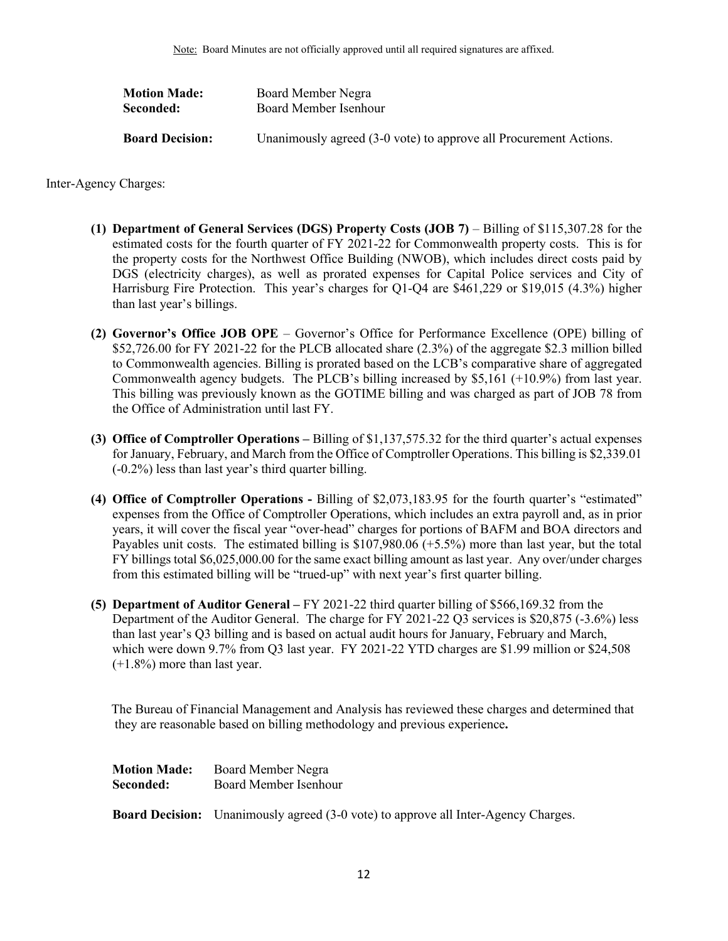| Board Member Negra                                                |
|-------------------------------------------------------------------|
| Board Member Isenhour                                             |
| Unanimously agreed (3-0 vote) to approve all Procurement Actions. |
|                                                                   |

Inter-Agency Charges:

- **(1) Department of General Services (DGS) Property Costs (JOB 7)** Billing of \$115,307.28 for the estimated costs for the fourth quarter of FY 2021-22 for Commonwealth property costs. This is for the property costs for the Northwest Office Building (NWOB), which includes direct costs paid by DGS (electricity charges), as well as prorated expenses for Capital Police services and City of Harrisburg Fire Protection. This year's charges for Q1-Q4 are \$461,229 or \$19,015 (4.3%) higher than last year's billings.
- **(2) Governor's Office JOB OPE** Governor's Office for Performance Excellence (OPE) billing of \$52,726.00 for FY 2021-22 for the PLCB allocated share (2.3%) of the aggregate \$2.3 million billed to Commonwealth agencies. Billing is prorated based on the LCB's comparative share of aggregated Commonwealth agency budgets. The PLCB's billing increased by \$5,161 (+10.9%) from last year. This billing was previously known as the GOTIME billing and was charged as part of JOB 78 from the Office of Administration until last FY.
- **(3) Office of Comptroller Operations –** Billing of \$1,137,575.32 for the third quarter's actual expenses for January, February, and March from the Office of Comptroller Operations. This billing is \$2,339.01 (-0.2%) less than last year's third quarter billing.
- **(4) Office of Comptroller Operations -** Billing of \$2,073,183.95 for the fourth quarter's "estimated" expenses from the Office of Comptroller Operations, which includes an extra payroll and, as in prior years, it will cover the fiscal year "over-head" charges for portions of BAFM and BOA directors and Payables unit costs. The estimated billing is \$107,980.06 (+5.5%) more than last year, but the total FY billings total \$6,025,000.00 for the same exact billing amount as last year. Any over/under charges from this estimated billing will be "trued-up" with next year's first quarter billing.
- **(5) Department of Auditor General –** FY 2021-22 third quarter billing of \$566,169.32 from the Department of the Auditor General. The charge for FY 2021-22 Q3 services is \$20,875 (-3.6%) less than last year's Q3 billing and is based on actual audit hours for January, February and March, which were down 9.7% from Q3 last year. FY 2021-22 YTD charges are \$1.99 million or \$24,508 (+1.8%) more than last year.

 The Bureau of Financial Management and Analysis has reviewed these charges and determined that they are reasonable based on billing methodology and previous experience**.**

| <b>Motion Made:</b> | Board Member Negra    |
|---------------------|-----------------------|
| Seconded:           | Board Member Isenhour |

<span id="page-11-0"></span>**Board Decision:** Unanimously agreed (3-0 vote) to approve all Inter-Agency Charges.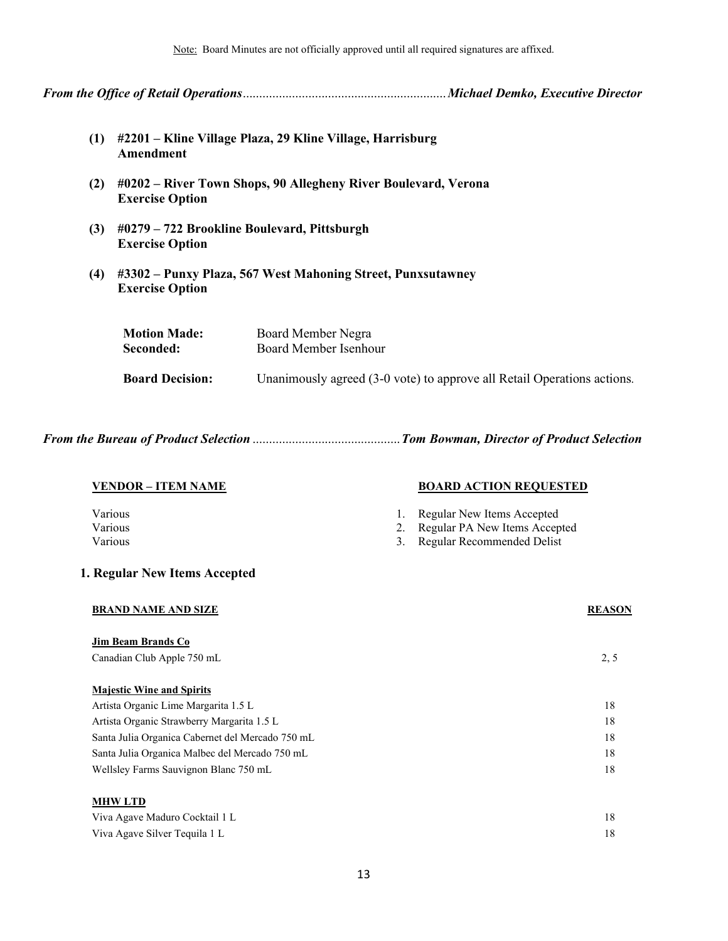Note: Board Minutes are not officially approved until all required signatures are affixed.

*From the Office of Retail Operations* .............................................................. *Michael Demko, Executive Director*

- **(1) #2201 Kline Village Plaza, 29 Kline Village, Harrisburg Amendment**
- **(2) #0202 River Town Shops, 90 Allegheny River Boulevard, Verona Exercise Option**
- **(3) #0279 722 Brookline Boulevard, Pittsburgh Exercise Option**
- **(4) #3302 Punxy Plaza, 567 West Mahoning Street, Punxsutawney Exercise Option**

| <b>Motion Made:</b>    | Board Member Negra                                                      |  |
|------------------------|-------------------------------------------------------------------------|--|
| Seconded:              | Board Member Isenhour                                                   |  |
| <b>Board Decision:</b> | Unanimously agreed (3-0 vote) to approve all Retail Operations actions. |  |

*From the Bureau of Product Selection* ............................................. *Tom Bowman, Director of Product Selection* 

| <u> VENDOR – ITEM NAME</u>                       |    | <b>BOARD ACTION REQUESTED</b> |               |
|--------------------------------------------------|----|-------------------------------|---------------|
| Various                                          | 1. | Regular New Items Accepted    |               |
| Various                                          | 2. | Regular PA New Items Accepted |               |
| Various                                          | 3. | Regular Recommended Delist    |               |
| 1. Regular New Items Accepted                    |    |                               |               |
| <b>BRAND NAME AND SIZE</b>                       |    |                               | <b>REASON</b> |
| Jim Beam Brands Co                               |    |                               |               |
| Canadian Club Apple 750 mL                       |    |                               | 2, 5          |
| <b>Majestic Wine and Spirits</b>                 |    |                               |               |
| Artista Organic Lime Margarita 1.5 L             |    |                               | 18            |
| Artista Organic Strawberry Margarita 1.5 L       |    |                               | 18            |
|                                                  |    |                               |               |
| Santa Julia Organica Cabernet del Mercado 750 mL |    |                               | 18            |
| Santa Julia Organica Malbec del Mercado 750 mL   |    |                               | 18            |
| Wellsley Farms Sauvignon Blanc 750 mL            |    |                               | 18            |
| <b>MHWLTD</b>                                    |    |                               |               |
| Viva Agave Maduro Cocktail 1 L                   |    |                               | 18            |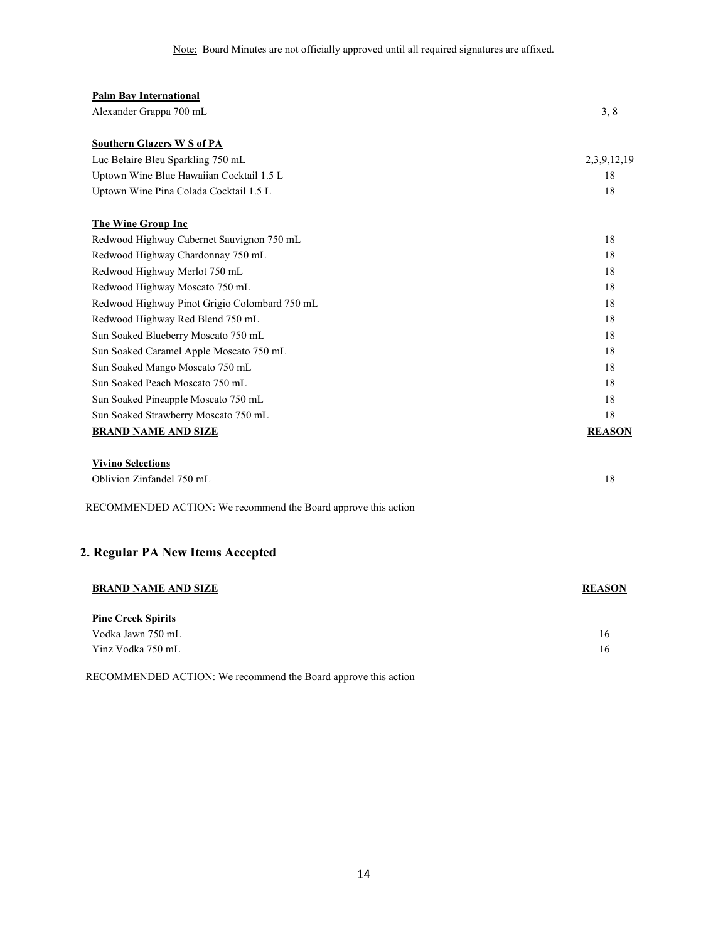| <b>Palm Bay International</b>                                  |               |
|----------------------------------------------------------------|---------------|
| Alexander Grappa 700 mL                                        | 3, 8          |
| <b>Southern Glazers W S of PA</b>                              |               |
| Luc Belaire Bleu Sparkling 750 mL                              | 2,3,9,12,19   |
| Uptown Wine Blue Hawaiian Cocktail 1.5 L                       | 18            |
| Uptown Wine Pina Colada Cocktail 1.5 L                         | 18            |
| <b>The Wine Group Inc</b>                                      |               |
| Redwood Highway Cabernet Sauvignon 750 mL                      | 18            |
| Redwood Highway Chardonnay 750 mL                              | 18            |
| Redwood Highway Merlot 750 mL                                  | 18            |
| Redwood Highway Moscato 750 mL                                 | 18            |
| Redwood Highway Pinot Grigio Colombard 750 mL                  | 18            |
| Redwood Highway Red Blend 750 mL                               | 18            |
| Sun Soaked Blueberry Moscato 750 mL                            | 18            |
| Sun Soaked Caramel Apple Moscato 750 mL                        | 18            |
| Sun Soaked Mango Moscato 750 mL                                | 18            |
| Sun Soaked Peach Moscato 750 mL                                | 18            |
| Sun Soaked Pineapple Moscato 750 mL                            | 18            |
| Sun Soaked Strawberry Moscato 750 mL                           | 18            |
| <b>BRAND NAME AND SIZE</b>                                     | <b>REASON</b> |
| <b>Vivino Selections</b>                                       |               |
| Oblivion Zinfandel 750 mL                                      | 18            |
| RECOMMENDED ACTION: We recommend the Board approve this action |               |
| 2. Regular PA New Items Accepted                               |               |
| <b>BRAND NAME AND SIZE</b>                                     | <b>REASON</b> |
| <b>Pine Creek Spirits</b>                                      |               |
| Vodka Jawn 750 mL                                              | 16            |
| Yinz Vodka 750 mL                                              | 16            |

RECOMMENDED ACTION: We recommend the Board approve this action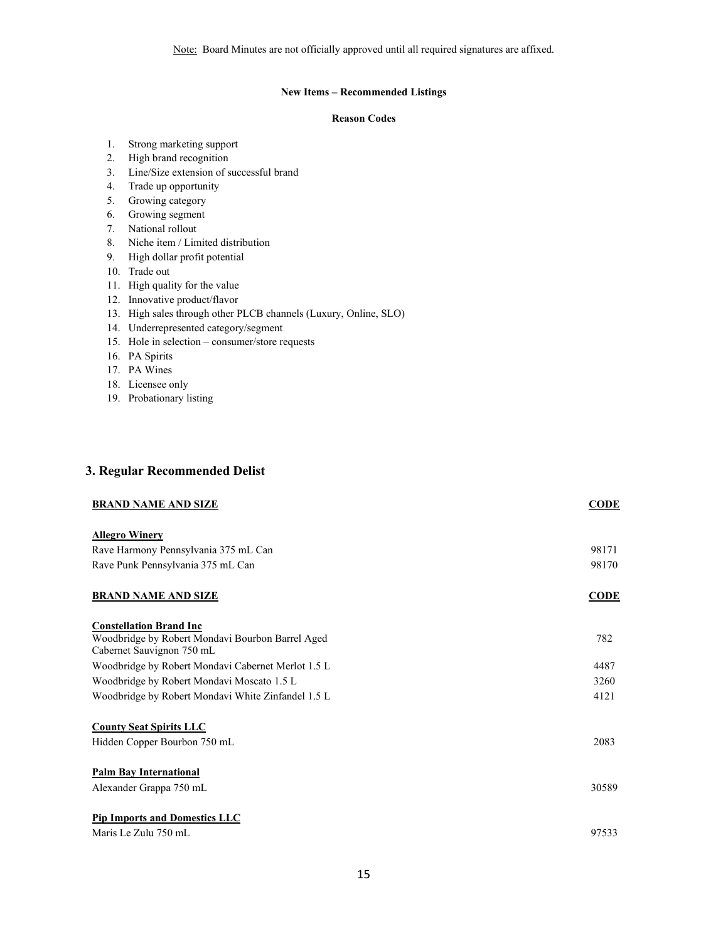### **New Items – Recommended Listings**

### **Reason Codes**

- 1. Strong marketing support
- 2. High brand recognition
- 3. Line/Size extension of successful brand
- 4. Trade up opportunity
- 5. Growing category
- 6. Growing segment
- 7. National rollout
- 8. Niche item / Limited distribution
- 9. High dollar profit potential
- 10. Trade out
- 11. High quality for the value
- 12. Innovative product/flavor
- 13. High sales through other PLCB channels (Luxury, Online, SLO)
- 14. Underrepresented category/segment
- 15. Hole in selection consumer/store requests
- 16. PA Spirits
- 17. PA Wines
- 18. Licensee only
- 19. Probationary listing

### **3. Regular Recommended Delist**

| <b>BRAND NAME AND SIZE</b>                                                         | <b>CODE</b> |
|------------------------------------------------------------------------------------|-------------|
| <b>Allegro Winery</b>                                                              |             |
| Rave Harmony Pennsylvania 375 mL Can                                               | 98171       |
| Rave Punk Pennsylvania 375 mL Can                                                  | 98170       |
| <b>BRAND NAME AND SIZE</b>                                                         | <b>CODE</b> |
| <b>Constellation Brand Inc</b><br>Woodbridge by Robert Mondavi Bourbon Barrel Aged | 782         |
| Cabernet Sauvignon 750 mL                                                          |             |
| Woodbridge by Robert Mondavi Cabernet Merlot 1.5 L                                 | 4487        |
| Woodbridge by Robert Mondavi Moscato 1.5 L                                         | 3260        |
| Woodbridge by Robert Mondavi White Zinfandel 1.5 L                                 | 4121        |
| <b>County Seat Spirits LLC</b>                                                     |             |
| Hidden Copper Bourbon 750 mL                                                       | 2083        |
| <b>Palm Bay International</b>                                                      |             |
| Alexander Grappa 750 mL                                                            | 30589       |
| <b>Pip Imports and Domestics LLC</b>                                               |             |
| Maris Le Zulu 750 mL                                                               | 97533       |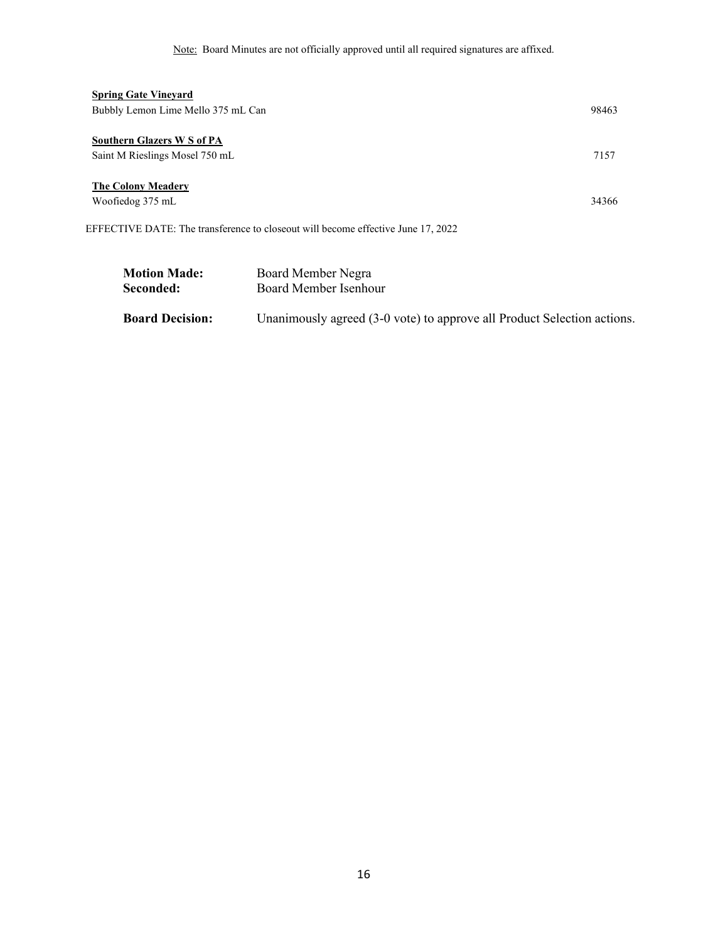Note: Board Minutes are not officially approved until all required signatures are affixed.

| <b>Spring Gate Vineyard</b>                                                      |       |
|----------------------------------------------------------------------------------|-------|
| Bubbly Lemon Lime Mello 375 mL Can                                               | 98463 |
|                                                                                  |       |
| Southern Glazers W S of PA                                                       |       |
| Saint M Rieslings Mosel 750 mL                                                   | 7157  |
|                                                                                  |       |
| <b>The Colony Meadery</b>                                                        |       |
| Woofiedog 375 mL                                                                 | 34366 |
|                                                                                  |       |
| EFFECTIVE DATE: The transference to closeout will become effective June 17, 2022 |       |

| <b>Motion Made:</b>    | Board Member Negra                                                      |
|------------------------|-------------------------------------------------------------------------|
| Seconded:              | Board Member Isenhour                                                   |
| <b>Board Decision:</b> | Unanimously agreed (3-0 vote) to approve all Product Selection actions. |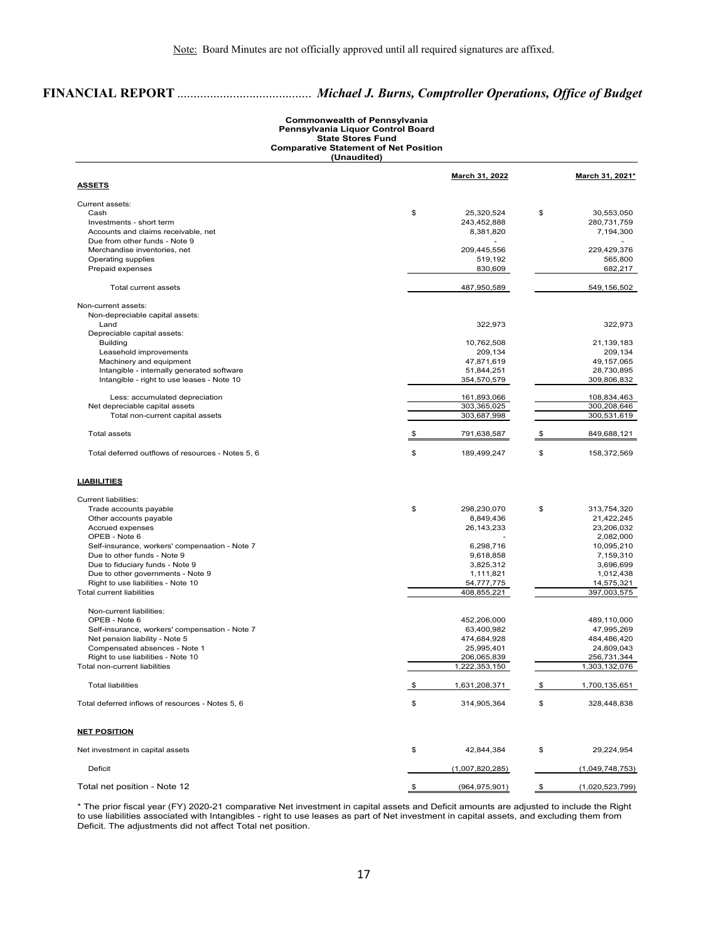# **FINANCIAL REPORT** ......................................... *Michael J. Burns, Comptroller Operations, Office of Budget*

### **Commonwealth of Pennsylvania Pennsylvania Liquor Control Board State Stores Fund Comparative Statement of Net Position (Unaudited)**

|                                                                        | <b>March 31, 2022</b>     | March 31, 2021*           |
|------------------------------------------------------------------------|---------------------------|---------------------------|
| <u>ASSETS</u>                                                          |                           |                           |
| Current assets:                                                        |                           |                           |
| Cash                                                                   | \$<br>25,320,524          | \$<br>30,553,050          |
| Investments - short term                                               | 243,452,888               | 280,731,759               |
| Accounts and claims receivable, net                                    | 8,381,820                 | 7,194,300                 |
| Due from other funds - Note 9                                          |                           |                           |
| Merchandise inventories, net                                           | 209,445,556               | 229,429,376               |
| Operating supplies                                                     | 519,192                   | 565,800                   |
| Prepaid expenses                                                       | 830,609                   | 682,217                   |
| <b>Total current assets</b>                                            | 487,950,589               | 549,156,502               |
| Non-current assets:                                                    |                           |                           |
| Non-depreciable capital assets:                                        |                           |                           |
| Land                                                                   | 322,973                   | 322.973                   |
| Depreciable capital assets:                                            |                           |                           |
| <b>Building</b>                                                        | 10,762,508                | 21,139,183                |
| Leasehold improvements                                                 | 209,134                   | 209,134                   |
| Machinery and equipment                                                | 47,871,619                | 49,157,065                |
| Intangible - internally generated software                             | 51,844,251                | 28,730,895                |
| Intangible - right to use leases - Note 10                             | 354,570,579               | 309,806,832               |
| Less: accumulated depreciation                                         | 161,893,066               | 108,834,463               |
| Net depreciable capital assets                                         | 303,365,025               | 300,208,646               |
| Total non-current capital assets                                       | 303,687,998               | 300,531,619               |
| <b>Total assets</b>                                                    | 791,638,587               | 849,688,121               |
| Total deferred outflows of resources - Notes 5, 6                      | \$<br>189,499,247         | \$<br>158,372,569         |
| <b>LIABILITIES</b>                                                     |                           |                           |
| <b>Current liabilities:</b>                                            |                           |                           |
| Trade accounts payable                                                 | \$<br>298,230,070         | \$<br>313,754,320         |
| Other accounts payable                                                 | 8,849,436                 | 21,422,245                |
| Accrued expenses                                                       | 26, 143, 233              | 23,206,032                |
| OPEB - Note 6                                                          |                           | 2,082,000                 |
| Self-insurance, workers' compensation - Note 7                         | 6,298,716                 | 10,095,210                |
| Due to other funds - Note 9                                            | 9,618,858                 | 7,159,310                 |
| Due to fiduciary funds - Note 9                                        | 3,825,312                 | 3,696,699                 |
|                                                                        | 1,111,821                 | 1,012,438                 |
| Due to other governments - Note 9                                      |                           |                           |
| Right to use liabilities - Note 10<br><b>Total current liabilities</b> | 54,777,775<br>408,855,221 | 14,575,321<br>397,003,575 |
|                                                                        |                           |                           |
| Non-current liabilities:                                               |                           |                           |
| OPEB - Note 6                                                          | 452,206,000               | 489,110,000               |
| Self-insurance, workers' compensation - Note 7                         | 63,400,982                | 47,995,269                |
| Net pension liability - Note 5                                         | 474,684,928               | 484,486,420               |
| Compensated absences - Note 1                                          | 25,995,401                | 24,809,043                |
| Right to use liabilities - Note 10                                     | 206,065,839               | 256,731,344               |
| Total non-current liabilities                                          | 1,222,353,150             | 1,303,132,076             |
| <b>Total liabilities</b>                                               | \$<br>1,631,208,371       | \$<br>1,700,135,651       |
| Total deferred inflows of resources - Notes 5, 6                       | \$<br>314,905,364         | 328,448,838               |
| <b>NET POSITION</b>                                                    |                           |                           |
| Net investment in capital assets                                       | \$<br>42,844,384          | \$<br>29,224,954          |
| Deficit                                                                | (1,007,820,285)           | (1,049,748,753)           |
| Total net position - Note 12                                           | \$<br>(964, 975, 901)     | \$<br>(1,020,523,799)     |
|                                                                        |                           |                           |

\* The prior fiscal year (FY) 2020-21 comparative Net investment in capital assets and Deficit amounts are adjusted to include the Right to use liabilities associated with Intangibles - right to use leases as part of Net investment in capital assets, and excluding them from Deficit. The adjustments did not affect Total net position.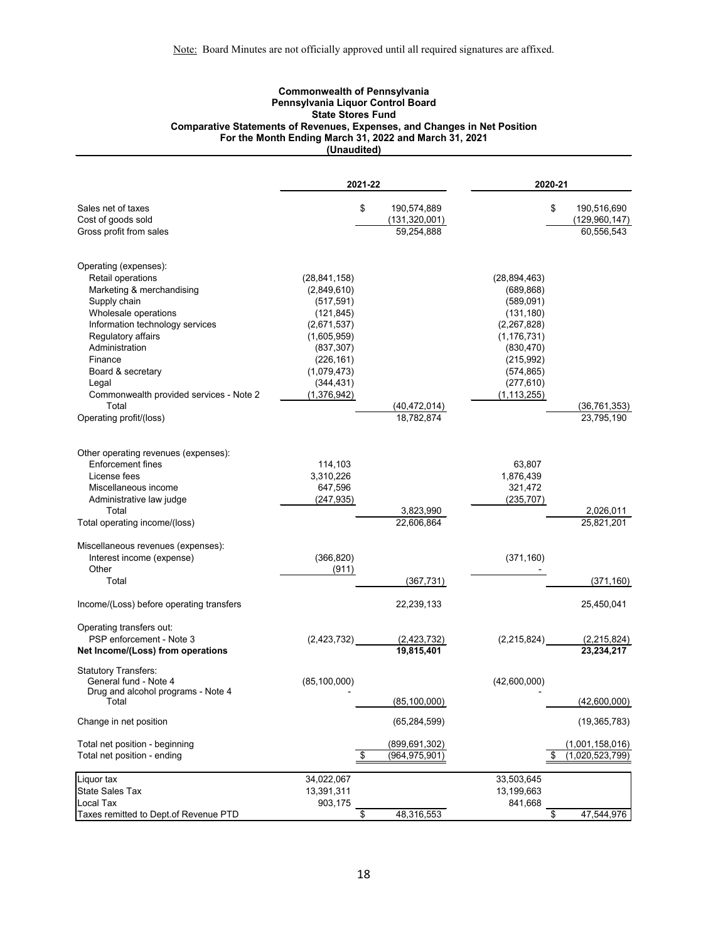### **Commonwealth of Pennsylvania Pennsylvania Liquor Control Board State Stores Fund Comparative Statements of Revenues, Expenses, and Changes in Net Position For the Month Ending March 31, 2022 and March 31, 2021 (Unaudited)**

|                                                         | 2021-22                   |                         | 2020-21                     |                         |
|---------------------------------------------------------|---------------------------|-------------------------|-----------------------------|-------------------------|
| Sales net of taxes                                      | \$                        | 190,574,889             | \$                          | 190,516,690             |
| Cost of goods sold                                      |                           | (131, 320, 001)         |                             | (129, 960, 147)         |
| Gross profit from sales                                 |                           | 59,254,888              |                             | 60,556,543              |
| Operating (expenses):                                   |                           |                         |                             |                         |
| Retail operations                                       | (28, 841, 158)            |                         | (28, 894, 463)              |                         |
| Marketing & merchandising                               | (2,849,610)               |                         | (689, 868)                  |                         |
| Supply chain                                            | (517, 591)                |                         | (589,091)                   |                         |
| Wholesale operations<br>Information technology services | (121, 845)<br>(2,671,537) |                         | (131, 180)<br>(2, 267, 828) |                         |
| Regulatory affairs                                      | (1,605,959)               |                         | (1, 176, 731)               |                         |
| Administration                                          | (837, 307)                |                         | (830, 470)                  |                         |
| Finance                                                 | (226, 161)                |                         | (215,992)                   |                         |
| Board & secretary                                       | (1,079,473)               |                         | (574, 865)                  |                         |
| Legal                                                   | (344, 431)                |                         | (277, 610)                  |                         |
| Commonwealth provided services - Note 2                 | (1,376,942)               |                         | (1, 113, 255)               |                         |
| Total                                                   |                           | (40, 472, 014)          |                             | (36, 761, 353)          |
| Operating profit/(loss)                                 |                           | 18,782,874              |                             | 23,795,190              |
| Other operating revenues (expenses):                    |                           |                         |                             |                         |
| Enforcement fines                                       | 114,103                   |                         | 63,807                      |                         |
| License fees                                            | 3,310,226                 |                         | 1,876,439                   |                         |
| Miscellaneous income                                    | 647,596                   |                         | 321,472                     |                         |
| Administrative law judge                                | (247, 935)                |                         | (235, 707)                  |                         |
| Total<br>Total operating income/(loss)                  |                           | 3,823,990<br>22,606,864 |                             | 2,026,011<br>25,821,201 |
| Miscellaneous revenues (expenses):                      |                           |                         |                             |                         |
| Interest income (expense)                               | (366, 820)                |                         | (371, 160)                  |                         |
| Other                                                   | (911)                     |                         |                             |                         |
| Total                                                   |                           | (367, 731)              |                             | (371, 160)              |
| Income/(Loss) before operating transfers                |                           | 22,239,133              |                             | 25,450,041              |
| Operating transfers out:                                |                           |                         |                             |                         |
| PSP enforcement - Note 3                                | (2, 423, 732)             | (2,423,732)             | (2,215,824)                 | (2,215,824)             |
| Net Income/(Loss) from operations                       |                           | 19,815,401              |                             | 23,234,217              |
| <b>Statutory Transfers:</b><br>General fund - Note 4    | (85, 100, 000)            |                         | (42,600,000)                |                         |
| Drug and alcohol programs - Note 4                      |                           |                         |                             |                         |
| Total                                                   |                           | (85, 100, 000)          |                             | (42,600,000)            |
| Change in net position                                  |                           | (65, 284, 599)          |                             | (19, 365, 783)          |
| Total net position - beginning                          |                           | (899, 691, 302)         |                             | (1,001,158,016)         |
| Total net position - ending                             | \$                        | (964, 975, 901)         | \$                          | (1,020,523,799)         |
| Liquor tax                                              | 34,022,067                |                         | 33,503,645                  |                         |
| State Sales Tax                                         | 13,391,311                |                         | 13,199,663                  |                         |
| Local Tax                                               | 903,175                   |                         | 841,668                     | 47,544,976              |
| Taxes remitted to Dept.of Revenue PTD                   | \$                        | 48,316,553              | \$                          |                         |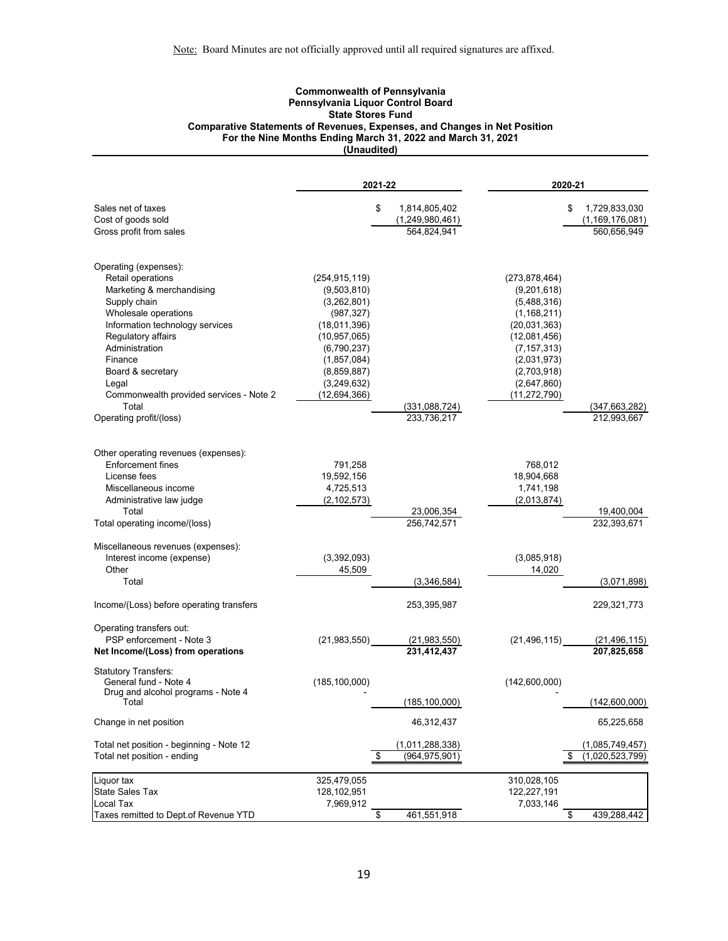### **Commonwealth of Pennsylvania Pennsylvania Liquor Control Board State Stores Fund Comparative Statements of Revenues, Expenses, and Changes in Net Position For the Nine Months Ending March 31, 2022 and March 31, 2021 (Unaudited)**

|                                                      | 2021-22                       |    |                             |                               | 2020-21                       |  |
|------------------------------------------------------|-------------------------------|----|-----------------------------|-------------------------------|-------------------------------|--|
| Sales net of taxes                                   |                               | \$ | 1,814,805,402               |                               | 1,729,833,030<br>\$           |  |
| Cost of goods sold                                   |                               |    | (1,249,980,461)             |                               | (1, 169, 176, 081)            |  |
| Gross profit from sales                              |                               |    | 564,824,941                 |                               | 560,656,949                   |  |
| Operating (expenses):                                |                               |    |                             |                               |                               |  |
| Retail operations                                    | (254, 915, 119)               |    |                             | (273, 878, 464)               |                               |  |
| Marketing & merchandising                            | (9,503,810)                   |    |                             | (9,201,618)                   |                               |  |
| Supply chain                                         | (3,262,801)                   |    |                             | (5,488,316)                   |                               |  |
| Wholesale operations                                 | (987, 327)                    |    |                             | (1, 168, 211)                 |                               |  |
| Information technology services                      | (18,011,396)                  |    |                             | (20,031,363)                  |                               |  |
| Regulatory affairs<br>Administration                 | (10, 957, 065)<br>(6,790,237) |    |                             | (12,081,456)<br>(7, 157, 313) |                               |  |
| Finance                                              | (1,857,084)                   |    |                             | (2,031,973)                   |                               |  |
| Board & secretary                                    | (8,859,887)                   |    |                             | (2,703,918)                   |                               |  |
| Legal                                                | (3,249,632)                   |    |                             | (2,647,860)                   |                               |  |
| Commonwealth provided services - Note 2              | (12, 694, 366)                |    |                             | (11, 272, 790)                |                               |  |
| Total                                                |                               |    | (331,088,724)               |                               | (347, 663, 282)               |  |
| Operating profit/(loss)                              |                               |    | 233,736,217                 |                               | 212,993,667                   |  |
| Other operating revenues (expenses):                 |                               |    |                             |                               |                               |  |
| <b>Enforcement fines</b>                             | 791,258                       |    |                             | 768,012                       |                               |  |
| License fees                                         | 19,592,156                    |    |                             | 18,904,668                    |                               |  |
| Miscellaneous income                                 | 4,725,513                     |    |                             | 1,741,198                     |                               |  |
| Administrative law judge                             | (2, 102, 573)                 |    |                             | (2,013,874)                   |                               |  |
| Total                                                |                               |    | 23,006,354                  |                               | 19,400,004                    |  |
| Total operating income/(loss)                        |                               |    | 256,742,571                 |                               | 232,393,671                   |  |
| Miscellaneous revenues (expenses):                   |                               |    |                             |                               |                               |  |
| Interest income (expense)                            | (3,392,093)                   |    |                             | (3,085,918)                   |                               |  |
| Other                                                | 45,509                        |    |                             | 14,020                        |                               |  |
| Total                                                |                               |    | (3,346,584)                 |                               | (3,071,898)                   |  |
| Income/(Loss) before operating transfers             |                               |    | 253,395,987                 |                               | 229,321,773                   |  |
| Operating transfers out:<br>PSP enforcement - Note 3 | (21,983,550)                  |    |                             | (21, 496, 115)                |                               |  |
| Net Income/(Loss) from operations                    |                               |    | (21,983,550)<br>231,412,437 |                               | (21, 496, 115)<br>207,825,658 |  |
| <b>Statutory Transfers:</b><br>General fund - Note 4 | (185, 100, 000)               |    |                             | (142,600,000)                 |                               |  |
| Drug and alcohol programs - Note 4                   |                               |    |                             |                               |                               |  |
| Total                                                |                               |    | (185, 100, 000)             |                               | (142,600,000)                 |  |
| Change in net position                               |                               |    | 46,312,437                  |                               | 65,225,658                    |  |
| Total net position - beginning - Note 12             |                               |    | (1,011,288,338)             |                               | (1,085,749,457)               |  |
| Total net position - ending                          |                               | \$ | (964, 975, 901)             |                               | (1,020,523,799)<br>\$         |  |
| Liquor tax                                           | 325,479,055                   |    |                             | 310,028,105                   |                               |  |
| State Sales Tax                                      | 128,102,951                   |    |                             | 122,227,191                   |                               |  |
| Local Tax                                            | 7,969,912                     |    | 461,551,918                 | 7,033,146                     |                               |  |
| Taxes remitted to Dept.of Revenue YTD                |                               | \$ |                             |                               | \$<br>439,288,442             |  |